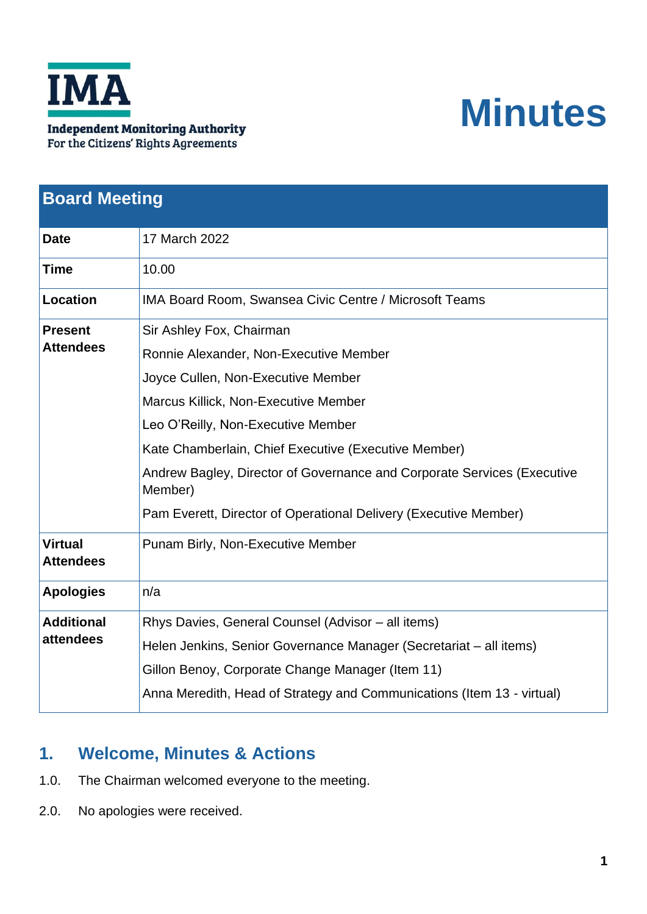

# **Minutes**

| <b>Board Meeting</b>               |                                                                                    |
|------------------------------------|------------------------------------------------------------------------------------|
| <b>Date</b>                        | 17 March 2022                                                                      |
| <b>Time</b>                        | 10.00                                                                              |
| <b>Location</b>                    | IMA Board Room, Swansea Civic Centre / Microsoft Teams                             |
| <b>Present</b><br><b>Attendees</b> | Sir Ashley Fox, Chairman                                                           |
|                                    | Ronnie Alexander, Non-Executive Member                                             |
|                                    | Joyce Cullen, Non-Executive Member                                                 |
|                                    | Marcus Killick, Non-Executive Member                                               |
|                                    | Leo O'Reilly, Non-Executive Member                                                 |
|                                    | Kate Chamberlain, Chief Executive (Executive Member)                               |
|                                    | Andrew Bagley, Director of Governance and Corporate Services (Executive<br>Member) |
|                                    | Pam Everett, Director of Operational Delivery (Executive Member)                   |
| <b>Virtual</b><br><b>Attendees</b> | Punam Birly, Non-Executive Member                                                  |
| <b>Apologies</b>                   | n/a                                                                                |
| <b>Additional</b>                  | Rhys Davies, General Counsel (Advisor – all items)                                 |
| attendees                          | Helen Jenkins, Senior Governance Manager (Secretariat – all items)                 |
|                                    | Gillon Benoy, Corporate Change Manager (Item 11)                                   |
|                                    | Anna Meredith, Head of Strategy and Communications (Item 13 - virtual)             |

## **1. Welcome, Minutes & Actions**

- 1.0. The Chairman welcomed everyone to the meeting.
- 2.0. No apologies were received.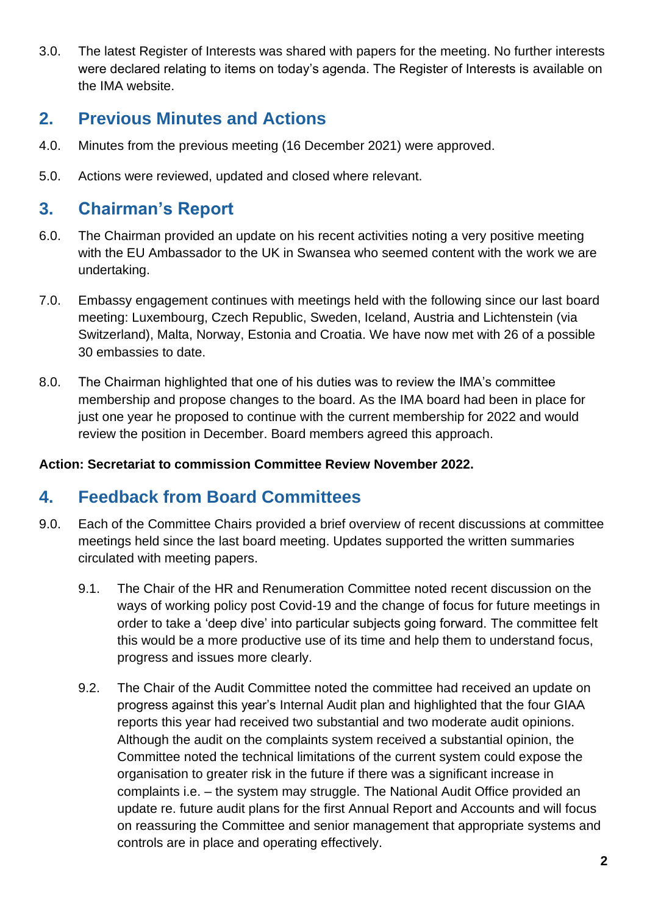3.0. The latest Register of Interests was shared with papers for the meeting. No further interests were declared relating to items on today's agenda. The Register of Interests is available on the IMA website.

## **2. Previous Minutes and Actions**

- 4.0. Minutes from the previous meeting (16 December 2021) were approved.
- 5.0. Actions were reviewed, updated and closed where relevant.

## **3. Chairman's Report**

- 6.0. The Chairman provided an update on his recent activities noting a very positive meeting with the EU Ambassador to the UK in Swansea who seemed content with the work we are undertaking.
- 7.0. Embassy engagement continues with meetings held with the following since our last board meeting: Luxembourg, Czech Republic, Sweden, Iceland, Austria and Lichtenstein (via Switzerland), Malta, Norway, Estonia and Croatia. We have now met with 26 of a possible 30 embassies to date.
- 8.0. The Chairman highlighted that one of his duties was to review the IMA's committee membership and propose changes to the board. As the IMA board had been in place for just one year he proposed to continue with the current membership for 2022 and would review the position in December. Board members agreed this approach.

#### **Action: Secretariat to commission Committee Review November 2022.**

## **4. Feedback from Board Committees**

- 9.0. Each of the Committee Chairs provided a brief overview of recent discussions at committee meetings held since the last board meeting. Updates supported the written summaries circulated with meeting papers.
	- 9.1. The Chair of the HR and Renumeration Committee noted recent discussion on the ways of working policy post Covid-19 and the change of focus for future meetings in order to take a 'deep dive' into particular subjects going forward. The committee felt this would be a more productive use of its time and help them to understand focus, progress and issues more clearly.
	- 9.2. The Chair of the Audit Committee noted the committee had received an update on progress against this year's Internal Audit plan and highlighted that the four GIAA reports this year had received two substantial and two moderate audit opinions. Although the audit on the complaints system received a substantial opinion, the Committee noted the technical limitations of the current system could expose the organisation to greater risk in the future if there was a significant increase in complaints i.e. – the system may struggle. The National Audit Office provided an update re. future audit plans for the first Annual Report and Accounts and will focus on reassuring the Committee and senior management that appropriate systems and controls are in place and operating effectively.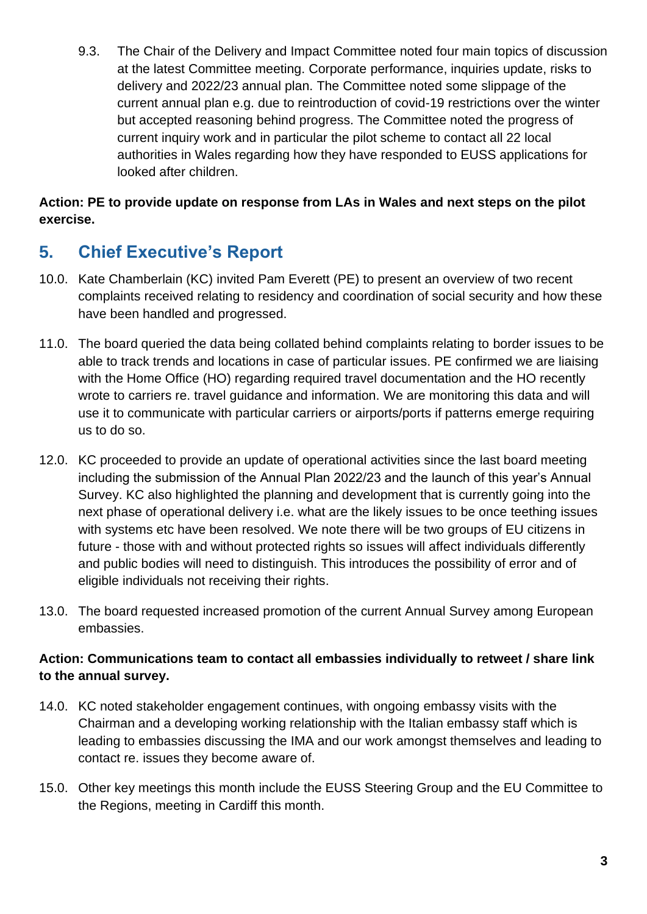9.3. The Chair of the Delivery and Impact Committee noted four main topics of discussion at the latest Committee meeting. Corporate performance, inquiries update, risks to delivery and 2022/23 annual plan. The Committee noted some slippage of the current annual plan e.g. due to reintroduction of covid-19 restrictions over the winter but accepted reasoning behind progress. The Committee noted the progress of current inquiry work and in particular the pilot scheme to contact all 22 local authorities in Wales regarding how they have responded to EUSS applications for looked after children.

#### **Action: PE to provide update on response from LAs in Wales and next steps on the pilot exercise.**

# **5. Chief Executive's Report**

- 10.0. Kate Chamberlain (KC) invited Pam Everett (PE) to present an overview of two recent complaints received relating to residency and coordination of social security and how these have been handled and progressed.
- 11.0. The board queried the data being collated behind complaints relating to border issues to be able to track trends and locations in case of particular issues. PE confirmed we are liaising with the Home Office (HO) regarding required travel documentation and the HO recently wrote to carriers re. travel guidance and information. We are monitoring this data and will use it to communicate with particular carriers or airports/ports if patterns emerge requiring us to do so.
- 12.0. KC proceeded to provide an update of operational activities since the last board meeting including the submission of the Annual Plan 2022/23 and the launch of this year's Annual Survey. KC also highlighted the planning and development that is currently going into the next phase of operational delivery i.e. what are the likely issues to be once teething issues with systems etc have been resolved. We note there will be two groups of EU citizens in future - those with and without protected rights so issues will affect individuals differently and public bodies will need to distinguish. This introduces the possibility of error and of eligible individuals not receiving their rights.
- 13.0. The board requested increased promotion of the current Annual Survey among European embassies.

#### **Action: Communications team to contact all embassies individually to retweet / share link to the annual survey.**

- 14.0. KC noted stakeholder engagement continues, with ongoing embassy visits with the Chairman and a developing working relationship with the Italian embassy staff which is leading to embassies discussing the IMA and our work amongst themselves and leading to contact re. issues they become aware of.
- 15.0. Other key meetings this month include the EUSS Steering Group and the EU Committee to the Regions, meeting in Cardiff this month.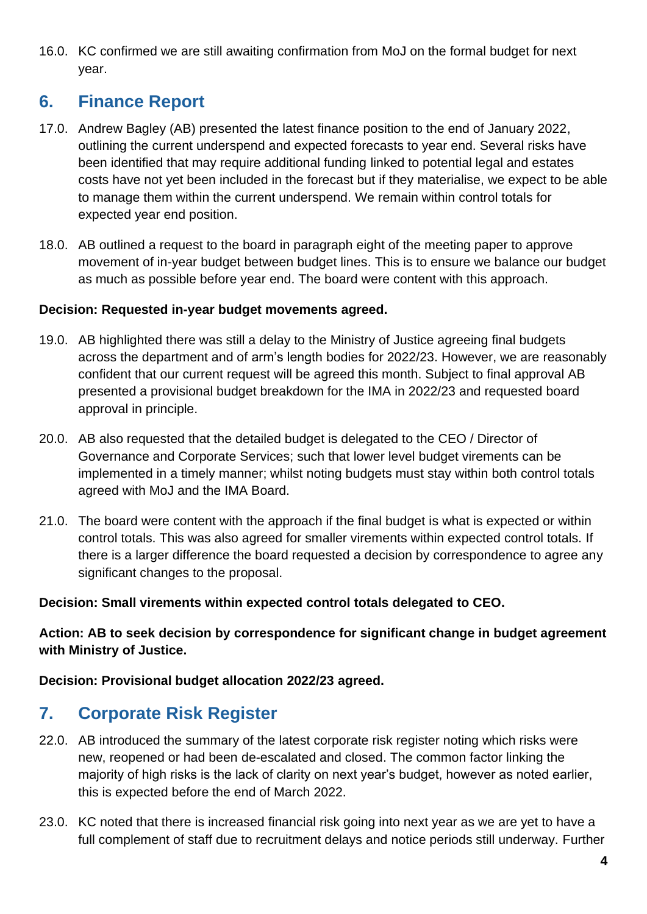16.0. KC confirmed we are still awaiting confirmation from MoJ on the formal budget for next year.

## **6. Finance Report**

- 17.0. Andrew Bagley (AB) presented the latest finance position to the end of January 2022, outlining the current underspend and expected forecasts to year end. Several risks have been identified that may require additional funding linked to potential legal and estates costs have not yet been included in the forecast but if they materialise, we expect to be able to manage them within the current underspend. We remain within control totals for expected year end position.
- 18.0. AB outlined a request to the board in paragraph eight of the meeting paper to approve movement of in-year budget between budget lines. This is to ensure we balance our budget as much as possible before year end. The board were content with this approach.

#### **Decision: Requested in-year budget movements agreed.**

- 19.0. AB highlighted there was still a delay to the Ministry of Justice agreeing final budgets across the department and of arm's length bodies for 2022/23. However, we are reasonably confident that our current request will be agreed this month. Subject to final approval AB presented a provisional budget breakdown for the IMA in 2022/23 and requested board approval in principle.
- 20.0. AB also requested that the detailed budget is delegated to the CEO / Director of Governance and Corporate Services; such that lower level budget virements can be implemented in a timely manner; whilst noting budgets must stay within both control totals agreed with MoJ and the IMA Board.
- 21.0. The board were content with the approach if the final budget is what is expected or within control totals. This was also agreed for smaller virements within expected control totals. If there is a larger difference the board requested a decision by correspondence to agree any significant changes to the proposal.

#### **Decision: Small virements within expected control totals delegated to CEO.**

**Action: AB to seek decision by correspondence for significant change in budget agreement with Ministry of Justice.** 

**Decision: Provisional budget allocation 2022/23 agreed.**

# **7. Corporate Risk Register**

- 22.0. AB introduced the summary of the latest corporate risk register noting which risks were new, reopened or had been de-escalated and closed. The common factor linking the majority of high risks is the lack of clarity on next year's budget, however as noted earlier, this is expected before the end of March 2022.
- 23.0. KC noted that there is increased financial risk going into next year as we are yet to have a full complement of staff due to recruitment delays and notice periods still underway. Further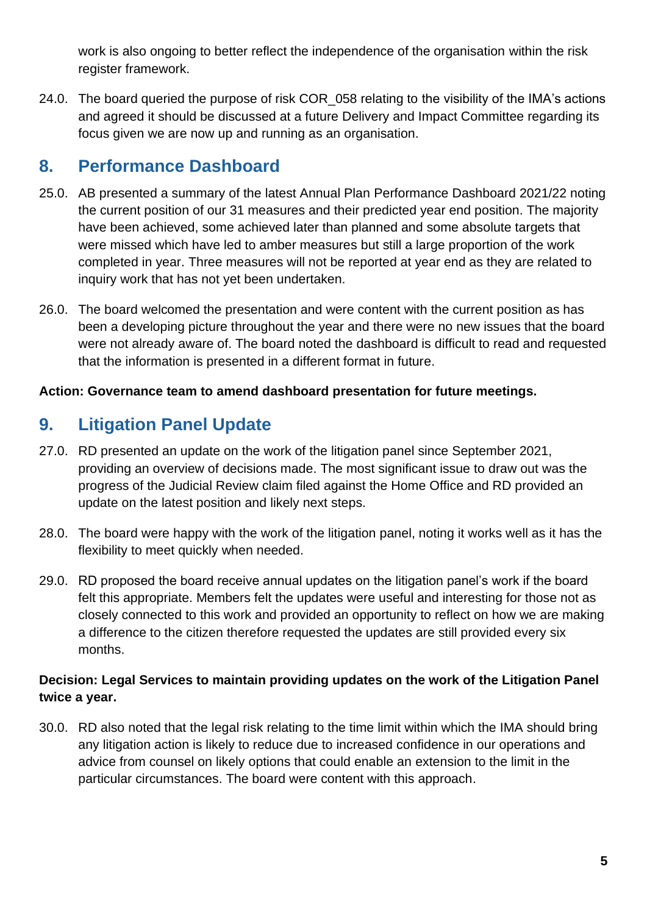work is also ongoing to better reflect the independence of the organisation within the risk register framework.

24.0. The board queried the purpose of risk COR\_058 relating to the visibility of the IMA's actions and agreed it should be discussed at a future Delivery and Impact Committee regarding its focus given we are now up and running as an organisation.

# **8. Performance Dashboard**

- 25.0. AB presented a summary of the latest Annual Plan Performance Dashboard 2021/22 noting the current position of our 31 measures and their predicted year end position. The majority have been achieved, some achieved later than planned and some absolute targets that were missed which have led to amber measures but still a large proportion of the work completed in year. Three measures will not be reported at year end as they are related to inquiry work that has not yet been undertaken.
- 26.0. The board welcomed the presentation and were content with the current position as has been a developing picture throughout the year and there were no new issues that the board were not already aware of. The board noted the dashboard is difficult to read and requested that the information is presented in a different format in future.

#### **Action: Governance team to amend dashboard presentation for future meetings.**

# **9. Litigation Panel Update**

- 27.0. RD presented an update on the work of the litigation panel since September 2021, providing an overview of decisions made. The most significant issue to draw out was the progress of the Judicial Review claim filed against the Home Office and RD provided an update on the latest position and likely next steps.
- 28.0. The board were happy with the work of the litigation panel, noting it works well as it has the flexibility to meet quickly when needed.
- 29.0. RD proposed the board receive annual updates on the litigation panel's work if the board felt this appropriate. Members felt the updates were useful and interesting for those not as closely connected to this work and provided an opportunity to reflect on how we are making a difference to the citizen therefore requested the updates are still provided every six months.

#### **Decision: Legal Services to maintain providing updates on the work of the Litigation Panel twice a year.**

30.0. RD also noted that the legal risk relating to the time limit within which the IMA should bring any litigation action is likely to reduce due to increased confidence in our operations and advice from counsel on likely options that could enable an extension to the limit in the particular circumstances. The board were content with this approach.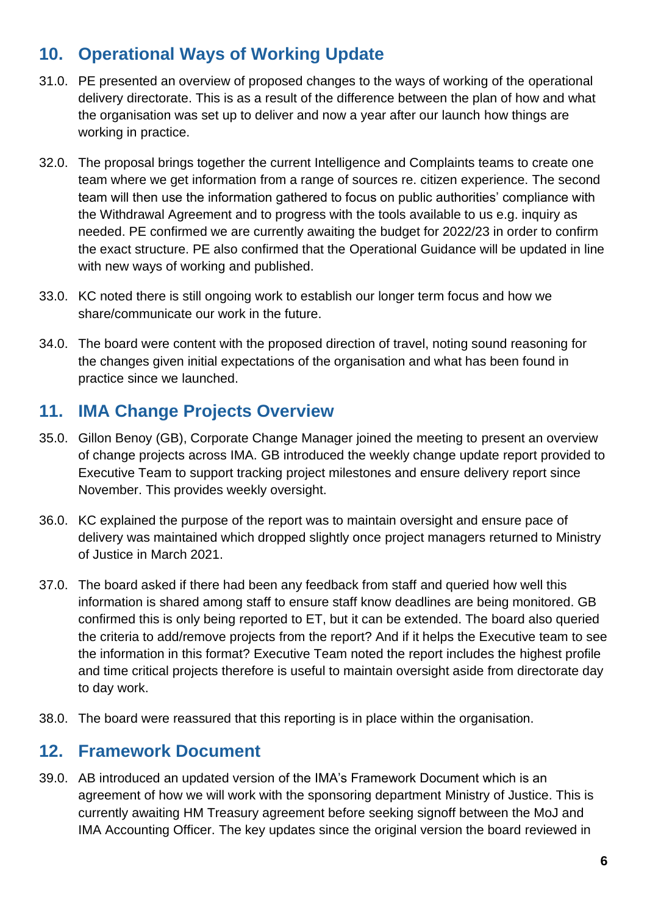# **10. Operational Ways of Working Update**

- 31.0. PE presented an overview of proposed changes to the ways of working of the operational delivery directorate. This is as a result of the difference between the plan of how and what the organisation was set up to deliver and now a year after our launch how things are working in practice.
- 32.0. The proposal brings together the current Intelligence and Complaints teams to create one team where we get information from a range of sources re. citizen experience. The second team will then use the information gathered to focus on public authorities' compliance with the Withdrawal Agreement and to progress with the tools available to us e.g. inquiry as needed. PE confirmed we are currently awaiting the budget for 2022/23 in order to confirm the exact structure. PE also confirmed that the Operational Guidance will be updated in line with new ways of working and published.
- 33.0. KC noted there is still ongoing work to establish our longer term focus and how we share/communicate our work in the future.
- 34.0. The board were content with the proposed direction of travel, noting sound reasoning for the changes given initial expectations of the organisation and what has been found in practice since we launched.

## **11. IMA Change Projects Overview**

- 35.0. Gillon Benoy (GB), Corporate Change Manager joined the meeting to present an overview of change projects across IMA. GB introduced the weekly change update report provided to Executive Team to support tracking project milestones and ensure delivery report since November. This provides weekly oversight.
- 36.0. KC explained the purpose of the report was to maintain oversight and ensure pace of delivery was maintained which dropped slightly once project managers returned to Ministry of Justice in March 2021.
- 37.0. The board asked if there had been any feedback from staff and queried how well this information is shared among staff to ensure staff know deadlines are being monitored. GB confirmed this is only being reported to ET, but it can be extended. The board also queried the criteria to add/remove projects from the report? And if it helps the Executive team to see the information in this format? Executive Team noted the report includes the highest profile and time critical projects therefore is useful to maintain oversight aside from directorate day to day work.
- 38.0. The board were reassured that this reporting is in place within the organisation.

### **12. Framework Document**

39.0. AB introduced an updated version of the IMA's Framework Document which is an agreement of how we will work with the sponsoring department Ministry of Justice. This is currently awaiting HM Treasury agreement before seeking signoff between the MoJ and IMA Accounting Officer. The key updates since the original version the board reviewed in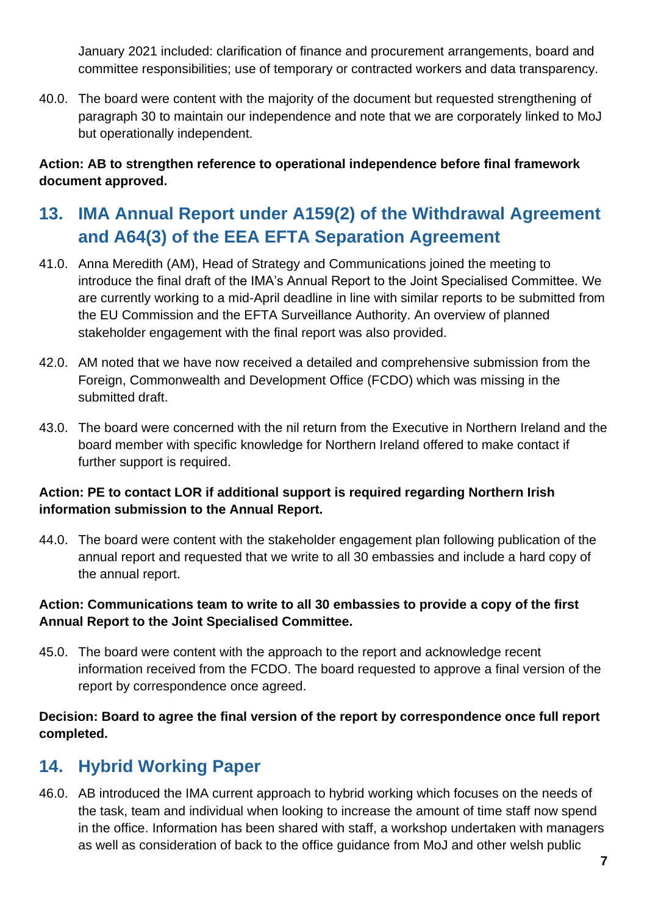January 2021 included: clarification of finance and procurement arrangements, board and committee responsibilities; use of temporary or contracted workers and data transparency.

40.0. The board were content with the majority of the document but requested strengthening of paragraph 30 to maintain our independence and note that we are corporately linked to MoJ but operationally independent.

**Action: AB to strengthen reference to operational independence before final framework document approved.** 

# **13. IMA Annual Report under A159(2) of the Withdrawal Agreement and A64(3) of the EEA EFTA Separation Agreement**

- 41.0. Anna Meredith (AM), Head of Strategy and Communications joined the meeting to introduce the final draft of the IMA's Annual Report to the Joint Specialised Committee. We are currently working to a mid-April deadline in line with similar reports to be submitted from the EU Commission and the EFTA Surveillance Authority. An overview of planned stakeholder engagement with the final report was also provided.
- 42.0. AM noted that we have now received a detailed and comprehensive submission from the Foreign, Commonwealth and Development Office (FCDO) which was missing in the submitted draft.
- 43.0. The board were concerned with the nil return from the Executive in Northern Ireland and the board member with specific knowledge for Northern Ireland offered to make contact if further support is required.

#### **Action: PE to contact LOR if additional support is required regarding Northern Irish information submission to the Annual Report.**

44.0. The board were content with the stakeholder engagement plan following publication of the annual report and requested that we write to all 30 embassies and include a hard copy of the annual report.

#### **Action: Communications team to write to all 30 embassies to provide a copy of the first Annual Report to the Joint Specialised Committee.**

45.0. The board were content with the approach to the report and acknowledge recent information received from the FCDO. The board requested to approve a final version of the report by correspondence once agreed.

**Decision: Board to agree the final version of the report by correspondence once full report completed.** 

# **14. Hybrid Working Paper**

46.0. AB introduced the IMA current approach to hybrid working which focuses on the needs of the task, team and individual when looking to increase the amount of time staff now spend in the office. Information has been shared with staff, a workshop undertaken with managers as well as consideration of back to the office guidance from MoJ and other welsh public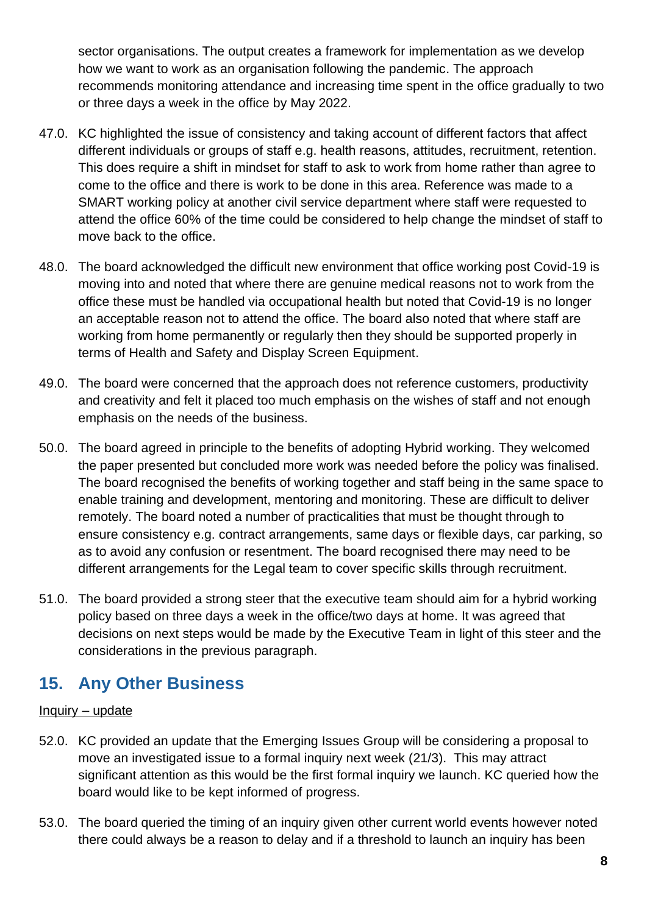sector organisations. The output creates a framework for implementation as we develop how we want to work as an organisation following the pandemic. The approach recommends monitoring attendance and increasing time spent in the office gradually to two or three days a week in the office by May 2022.

- 47.0. KC highlighted the issue of consistency and taking account of different factors that affect different individuals or groups of staff e.g. health reasons, attitudes, recruitment, retention. This does require a shift in mindset for staff to ask to work from home rather than agree to come to the office and there is work to be done in this area. Reference was made to a SMART working policy at another civil service department where staff were requested to attend the office 60% of the time could be considered to help change the mindset of staff to move back to the office.
- 48.0. The board acknowledged the difficult new environment that office working post Covid-19 is moving into and noted that where there are genuine medical reasons not to work from the office these must be handled via occupational health but noted that Covid-19 is no longer an acceptable reason not to attend the office. The board also noted that where staff are working from home permanently or regularly then they should be supported properly in terms of Health and Safety and Display Screen Equipment.
- 49.0. The board were concerned that the approach does not reference customers, productivity and creativity and felt it placed too much emphasis on the wishes of staff and not enough emphasis on the needs of the business.
- 50.0. The board agreed in principle to the benefits of adopting Hybrid working. They welcomed the paper presented but concluded more work was needed before the policy was finalised. The board recognised the benefits of working together and staff being in the same space to enable training and development, mentoring and monitoring. These are difficult to deliver remotely. The board noted a number of practicalities that must be thought through to ensure consistency e.g. contract arrangements, same days or flexible days, car parking, so as to avoid any confusion or resentment. The board recognised there may need to be different arrangements for the Legal team to cover specific skills through recruitment.
- 51.0. The board provided a strong steer that the executive team should aim for a hybrid working policy based on three days a week in the office/two days at home. It was agreed that decisions on next steps would be made by the Executive Team in light of this steer and the considerations in the previous paragraph.

## **15. Any Other Business**

#### Inquiry – update

- 52.0. KC provided an update that the Emerging Issues Group will be considering a proposal to move an investigated issue to a formal inquiry next week (21/3). This may attract significant attention as this would be the first formal inquiry we launch. KC queried how the board would like to be kept informed of progress.
- 53.0. The board queried the timing of an inquiry given other current world events however noted there could always be a reason to delay and if a threshold to launch an inquiry has been